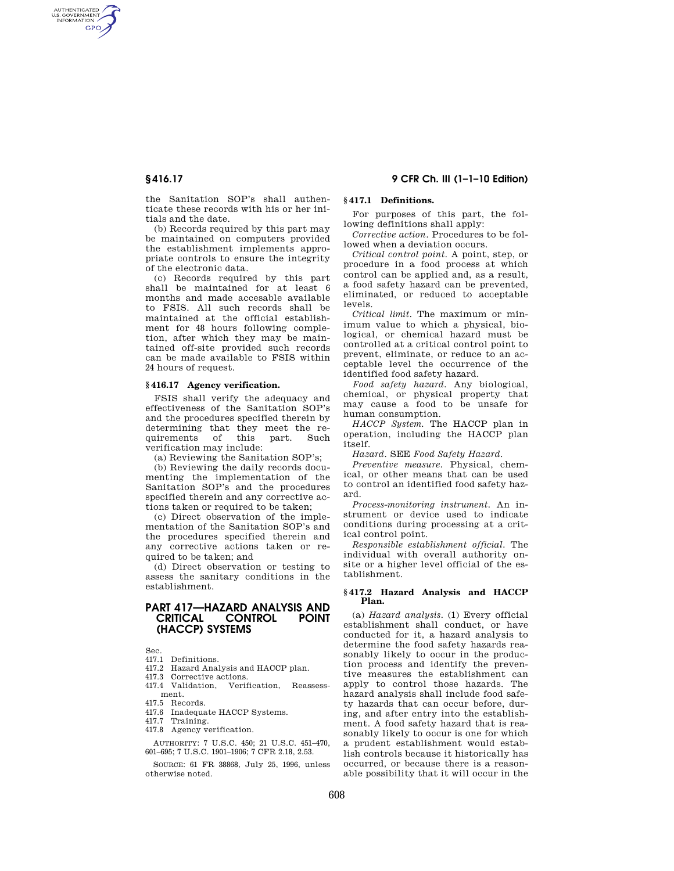AUTHENTICATED<br>U.S. GOVERNMENT<br>INFORMATION **GPO** 

**§ 416.17 9 CFR Ch. III (1–1–10 Edition)** 

the Sanitation SOP's shall authenticate these records with his or her initials and the date.

(b) Records required by this part may be maintained on computers provided the establishment implements appropriate controls to ensure the integrity of the electronic data.

(c) Records required by this part shall be maintained for at least 6 months and made accesable available to FSIS. All such records shall be maintained at the official establishment for 48 hours following completion, after which they may be maintained off-site provided such records can be made available to FSIS within 24 hours of request.

## **§ 416.17 Agency verification.**

FSIS shall verify the adequacy and effectiveness of the Sanitation SOP's and the procedures specified therein by determining that they meet the requirements of this part. Such verification may include:

(a) Reviewing the Sanitation SOP's;

(b) Reviewing the daily records documenting the implementation of the Sanitation SOP's and the procedures specified therein and any corrective actions taken or required to be taken;

(c) Direct observation of the implementation of the Sanitation SOP's and the procedures specified therein and any corrective actions taken or required to be taken; and

(d) Direct observation or testing to assess the sanitary conditions in the establishment.

# **PART 417—HAZARD ANALYSIS AND CRITICAL CONTROL POINT (HACCP) SYSTEMS**

Sec.

- 417.1 Definitions. 417.2 Hazard Analysis and HACCP plan.
- 417.3 Corrective actions.
- 417.4 Validation, Verification, Reassess-
- ment.
- 417.5 Records.
- 417.6 Inadequate HACCP Systems.
- 417.7 Training.
- 417.8 Agency verification.

AUTHORITY: 7 U.S.C. 450; 21 U.S.C. 451–470, 601–695; 7 U.S.C. 1901–1906; 7 CFR 2.18, 2.53.

SOURCE: 61 FR 38868, July 25, 1996, unless otherwise noted.

## **§ 417.1 Definitions.**

For purposes of this part, the following definitions shall apply:

*Corrective action.* Procedures to be followed when a deviation occurs.

*Critical control point.* A point, step, or procedure in a food process at which control can be applied and, as a result, a food safety hazard can be prevented, eliminated, or reduced to acceptable levels.

*Critical limit.* The maximum or minimum value to which a physical, biological, or chemical hazard must be controlled at a critical control point to prevent, eliminate, or reduce to an acceptable level the occurrence of the identified food safety hazard.

*Food safety hazard.* Any biological, chemical, or physical property that may cause a food to be unsafe for human consumption.

*HACCP System.* The HACCP plan in operation, including the HACCP plan itself.

*Hazard.* SEE *Food Safety Hazard*.

*Preventive measure.* Physical, chemical, or other means that can be used to control an identified food safety hazard.

*Process-monitoring instrument.* An instrument or device used to indicate conditions during processing at a critical control point.

*Responsible establishment official.* The individual with overall authority onsite or a higher level official of the establishment.

## **§ 417.2 Hazard Analysis and HACCP Plan.**

(a) *Hazard analysis.* (1) Every official establishment shall conduct, or have conducted for it, a hazard analysis to determine the food safety hazards reasonably likely to occur in the production process and identify the preventive measures the establishment can apply to control those hazards. The hazard analysis shall include food safety hazards that can occur before, during, and after entry into the establishment. A food safety hazard that is reasonably likely to occur is one for which a prudent establishment would establish controls because it historically has occurred, or because there is a reasonable possibility that it will occur in the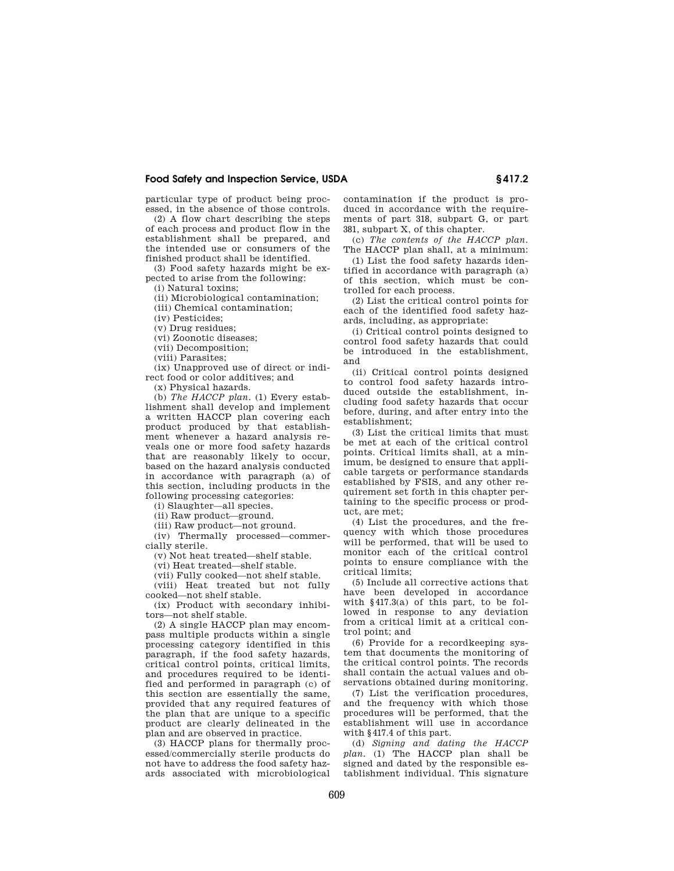## **Food Safety and Inspection Service, USDA § 417.2**

particular type of product being processed, in the absence of those controls.

(2) A flow chart describing the steps of each process and product flow in the establishment shall be prepared, and the intended use or consumers of the finished product shall be identified.

(3) Food safety hazards might be expected to arise from the following:

(i) Natural toxins; (ii) Microbiological contamination;

(iii) Chemical contamination;

(iv) Pesticides;

(v) Drug residues;

(vi) Zoonotic diseases;

(vii) Decomposition;

(viii) Parasites;

(ix) Unapproved use of direct or indirect food or color additives; and

(x) Physical hazards.

(b) *The HACCP plan.* (1) Every establishment shall develop and implement a written HACCP plan covering each product produced by that establishment whenever a hazard analysis reveals one or more food safety hazards that are reasonably likely to occur, based on the hazard analysis conducted in accordance with paragraph (a) of this section, including products in the following processing categories:

(i) Slaughter—all species.

(ii) Raw product—ground.

(iii) Raw product—not ground.

(iv) Thermally processed—commercially sterile.

(v) Not heat treated—shelf stable.

(vi) Heat treated—shelf stable.

(vii) Fully cooked—not shelf stable.

(viii) Heat treated but not fully cooked—not shelf stable.

(ix) Product with secondary inhibitors—not shelf stable.

(2) A single HACCP plan may encompass multiple products within a single processing category identified in this paragraph, if the food safety hazards, critical control points, critical limits, and procedures required to be identified and performed in paragraph (c) of this section are essentially the same, provided that any required features of the plan that are unique to a specific product are clearly delineated in the plan and are observed in practice.

(3) HACCP plans for thermally processed/commercially sterile products do not have to address the food safety hazards associated with microbiological contamination if the product is produced in accordance with the requirements of part 318, subpart G, or part 381, subpart X, of this chapter.

(c) *The contents of the HACCP plan.*  The HACCP plan shall, at a minimum:

(1) List the food safety hazards identified in accordance with paragraph (a) of this section, which must be controlled for each process.

(2) List the critical control points for each of the identified food safety hazards, including, as appropriate:

(i) Critical control points designed to control food safety hazards that could be introduced in the establishment, and

(ii) Critical control points designed to control food safety hazards introduced outside the establishment, including food safety hazards that occur before, during, and after entry into the establishment;

(3) List the critical limits that must be met at each of the critical control points. Critical limits shall, at a minimum, be designed to ensure that applicable targets or performance standards established by FSIS, and any other requirement set forth in this chapter pertaining to the specific process or product, are met;

(4) List the procedures, and the frequency with which those procedures will be performed, that will be used to monitor each of the critical control points to ensure compliance with the critical limits;

(5) Include all corrective actions that have been developed in accordance with §417.3(a) of this part, to be followed in response to any deviation from a critical limit at a critical control point; and

(6) Provide for a recordkeeping system that documents the monitoring of the critical control points. The records shall contain the actual values and observations obtained during monitoring.

(7) List the verification procedures, and the frequency with which those procedures will be performed, that the establishment will use in accordance with §417.4 of this part.

(d) *Signing and dating the HACCP plan.* (1) The HACCP plan shall be signed and dated by the responsible establishment individual. This signature